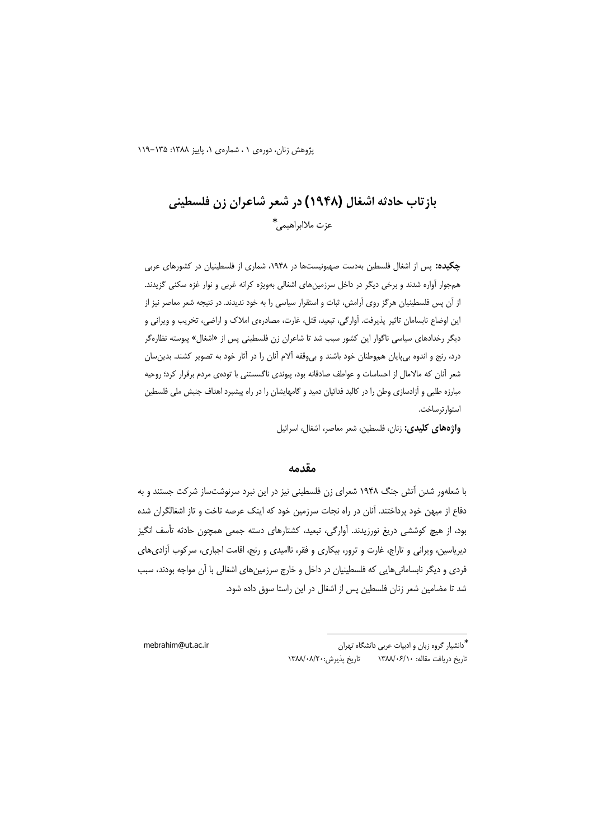یژوهش زنان، دورهی ۱، شمارهی ۱، پاییز ۱۳۸۸: ۱۳۵–۱۱۹

# بازتاب حادثه اشغال (۱۹۴۸) در شعر شاعران زن فلسطینی عزت ملاابراهيمي.\*

چکیده: پس از اشغال فلسطین بهدست صهیونیستها در ۱۹۴۸، شماری از فلسطینیان در کشورهای عربی همجوار آواره شدند و برخی دیگر در داخل سرزمینهای اشغالی بهویژه کرانه غربی و نوار غزه سکنی گزیدند. از آن پس فلسطینیان هرگز روی آرامش، ثبات و استقرار سیاسی را به خود ندیدند. در نتیجه شعر معاصر نیز از این اوضاع نابسامان تاثیر پذیرفت. آوارگی، تبعید، قتل، غارت، مصادرهی املاک و اراضی، تخریب و ویرانی و دیگر رخدادهای سیاسی ناگوار این کشور سبب شد تا شاعران زن فلسطینی پس از «اشغال» پیوسته نظارهگر درد، رنج و اندوه بی پایان هموطنان خود باشند و بی وقفه آلام آنان را در آثار خود به تصویر کشند. بدین سان شعر آنان که مالامال از احساسات و عواطف صادقانه بود، پیوندی ناگسستنی با تودهی مردم برقرار کرد؛ روحیه مبارزه طلبی و آزادسازی وطن را در کالبد فدائیان دمید و گامهایشان را در راه پیشبرد اهداف جنبش ملی فلسطین استوار ترساخت.

**واژههای کلیدی:** زنان، فلسطین، شعر معاصر، اشغال، اسرائیل

### مقدمه

با شعلهور شدن آتش جنگ ۱۹۴۸ شعرای زن فلسطینی نیز در این نبرد سرنوشتساز شرکت جستند و به دفاع از میهن خود پرداختند. آنان در راه نجات سرزمین خود که اینک عرصه تاخت و تاز اشغالگران شده بود، از هیچ کوششی دریغ نورزیدند. آوارگی، تبعید، کشتارهای دسته جمعی همچون حادثه تأسف انگیز دیریاسین، ویرانی و تاراج، غارت و ترور، بیکاری و فقر، ناامیدی و رنج، اقامت اجباری، سرکوب آزادیهای فردی و دیگر نابسامانیهایی که فلسطینیان در داخل و خارج سرزمینهای اشغالی با آن مواجه بودند، سبب شد تا مضامین شعر زنان فلسطین پس از اشغال در این راستا سوق داده شود.

mebrahim@ut.ac.ir

ٔ دانشیار گروه زبان و ادبیات عربی دانشگاه تهران تاريخ دريافت مقاله: ١٣٨٨/٠۶/١٠ تاريخ پذيرش:١٣٨٨/٠٨/٢٠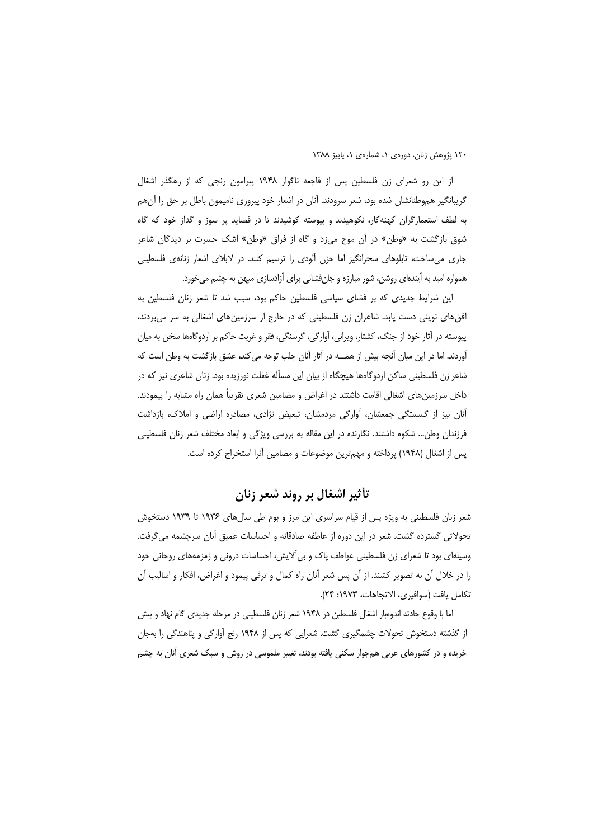از این رو شعرای زن فلسطین پس از فاجعه ناگوار ۱۹۴۸ پیرامون رنجی که از رهگذر اشغال گریبانگیر هموطنانشان شده بود، شعر سرودند. آنان در اشعار خود پیروزی نامیمون باطل بر حق را آنهم به لطف استعمارگران کهنهکار، نکوهیدند و پیوسته کوشیدند تا در قصاید پر سوز و گداز خود که گاه شوق بازگشت به «وطن» در آن موج می;د و گاه از فراق «وطن» اشک حسرت بر دیدگان شاعر جاری می ساخت، تابلوهای سحرانگیز اما حزن آلودی را ترسیم کنند. در لابلای اشعار زنانهی فلسطینی همواره امید به آیندهای روشن، شور مبارزه و جانفشانی برای آزادسازی میهن به چشم می خورد.

این شرایط جدیدی که بر فضای سیاسی فلسطین حاکم بود، سبب شد تا شعر زنان فلسطین به افق های نوینی دست یابد. شاعران زن فلسطینی که در خارج از سرزمین های اشغالی به سر میبردند، پیوسته در آثار خود از جنگ، کشتار، ویرانی، آوارگی، گرسنگی، فقر و غربت حاکم بر اردوگاهها سخن به میان آوردند. اما در این میان آنچه بیش از همـــه در آثار آنان جلب توجه می کند، عشق بازگشت به وطن است که شاعر زن فلسطینی ساکن اردوگاهها هیچگاه از بیان این مسأله غفلت نورزیده بود. زنان شاعری نیز که در داخل سرزمینهای اشغالی اقامت داشتند در اغراض و مضامین شعری تقریباً همان راه مشابه را پیمودند. آنان نیز از گسستگی جمعشان، آوارگی مردمشان، تبعیض نژادی، مصادره اراضی و املاک، بازداشت فرزندان وطن… شکوه داشتند. نگارنده در این مقاله به بررسی ویژگی و ابعاد مختلف شعر زنان فلسطینی پس از اشغال (۱۹۴۸) پرداخته و مهمترین موضوعات و مضامین آنرا استخراج کرده است.

تأثير اشغال بر روند شعر زنان

شعر زنان فلسطینی به ویژه پس از قیام سراسری این مرز و بوم طی سالهای ۱۹۳۶ تا ۱۹۳۹ دستخوش تحولاتی گسترده گشت. شعر در این دوره از عاطفه صادقانه و احساسات عمیق آنان سرچشمه میگرفت. وسیلهای بود تا شعرای زن فلسطینی عواطف پاک و بی|ًلایش، احساسات درونی و زمزمههای روحانی خود را در خلال آن به تصویر کشند. از آن پس شعر آنان راه کمال و ترقی پیمود و اغراض، افکار و اسالیب آن تكامل يافت (سوافيري، الاتجاهات، ١٩٧٣: ٢۴).

اما با وقوع حادثه اندوهبار اشغال فلسطین در ۱۹۴۸ شعر زنان فلسطینی در مرحله جدیدی گام نهاد و بیش از گذشته دستخوش تحولات چشمگیری گشت. شعرایی که پس از ۱۹۴۸ رنج آوارگی و پناهندگی را بهجان خریده و در کشورهای عربی همجوار سکنی یافته بودند، تغییر ملموسی در روش و سبک شعری آنان به چشم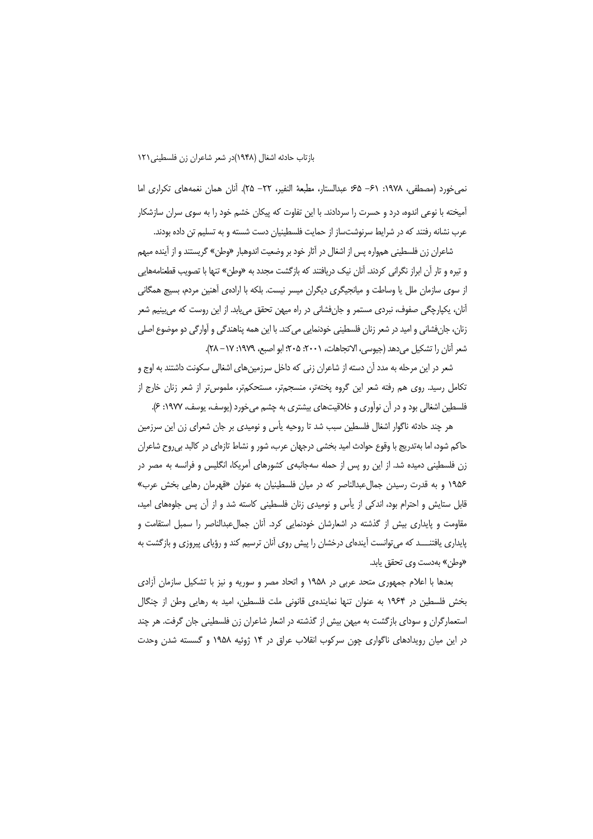نمي خورد (مصطفى، ١٩٧٨: ٤١- ۶۵؛ عبدالستار، مطبعة النفير، ٢٢– ٢۵). أنان همان نغمههاى تكرارى اما آمیخته با نوعی اندوه، درد و حسرت را سردادند. با این تفاوت که پیکان خشم خود را به سوی سران سازشکار عرب نشانه رفتند که در شرایط سرنوشتساز از حمایت فلسطینیان دست شسته و به تسلیم تن داده بودند.

شاعران زن فلسطینی همواره پس از اشغال در آثار خود بر وضعیت اندوهبار «وطن» گریستند و از آینده مبهم و تیره و تار آن ابراز نگرانی کردند. آنان نیک دریافتند که بازگشت مجدد به «وطن» تنها با تصویب قطعنامههایی از سوی سازمان ملل یا وساطت و میانجیگری دیگران میسر نیست. بلکه با ارادهی آهنین مردم، بسیج همگانی آنان، پکپارچگی صفوف، نبردی مستمر و جانفشانی در راه میهن تحقق می یابد. از این روست که می پینیم شعر زنان، جانفشاني و اميد در شعر زنان فلسطيني خودنمايي مي كند. با اين همه پناهندگي و آوارگي دو موضوع اصلي شعر آنان را تشكيل مي دهد (جيوسي، الاتجاهات، ٢٠٠١: ٢٠۵: ابو اصبع، ١٩٧٩: ١٧ – ٢٨).

شعر در این مرحله به مدد آن دسته از شاعران زنی که داخل سرزمینهای اشغالی سکونت داشتند به اوج و تکامل رسید. روی هم رفته شعر این گروه پختهتر، منسجمتر، مستحکمتر، ملموس تر از شعر زنان خارج از فلسطین اشغالی بود و در آن نوآوری و خلاقیتهای بیشتری به چشم میخورد (پوسف، پوسف، ۱۹۷۷: ۶).

هر چند حادثه ناگوار اشغال فلسطین سبب شد تا روحیه یأس و نومیدی بر جان شعرای زن این سرزمین حاکم شود، اما بهتدریج با وقوع حوادث امید بخشی درجهان عرب، شور و نشاط تازمای در کالبد بی روح شاعران زن فلسطینی دمیده شد. از این رو پس از حمله سهجانبهی کشورهای آمریکا، انگلیس و فرانسه به مصر در ۱۹۵۶ و به قدرت رسیدن جمال عبدالناصر که در میان فلسطینیان به عنوان «قهرمان رهایی بخش عرب» قابل ستایش و احترام بود، اندکی از یأس و نومیدی زنان فلسطینی کاسته شد و از آن پس جلوههای امید، مقاومت و پایداری بیش از گذشته در اشعارشان خودنمایی کرد. آنان جمالءبدالناصر را سمبل استقامت و پایداری یافتنـــد که می توانست آیندهای درخشان را پیش روی آنان ترسیم کند و رؤیای پیروزی و بازگشت به «وطن» بهدست وي تحقق يابد.

بعدها با اعلام جمهوری متحد عربی در ۱۹۵۸ و اتحاد مصر و سوریه و نیز با تشکیل سازمان أزادی بخش فلسطین در ۱۹۶۴ به عنوان تنها نمایندهی قانونی ملت فلسطین، امید به رهایی وطن از چنگال استعمارگران و سودای بازگشت به میهن بیش از گذشته در اشعار شاعران زن فلسطینی جان گرفت. هر چند در این میان رویدادهای ناگواری چون سرکوب انقلاب عراق در ۱۴ ژوئیه ۱۹۵۸ و گسسته شدن وحدت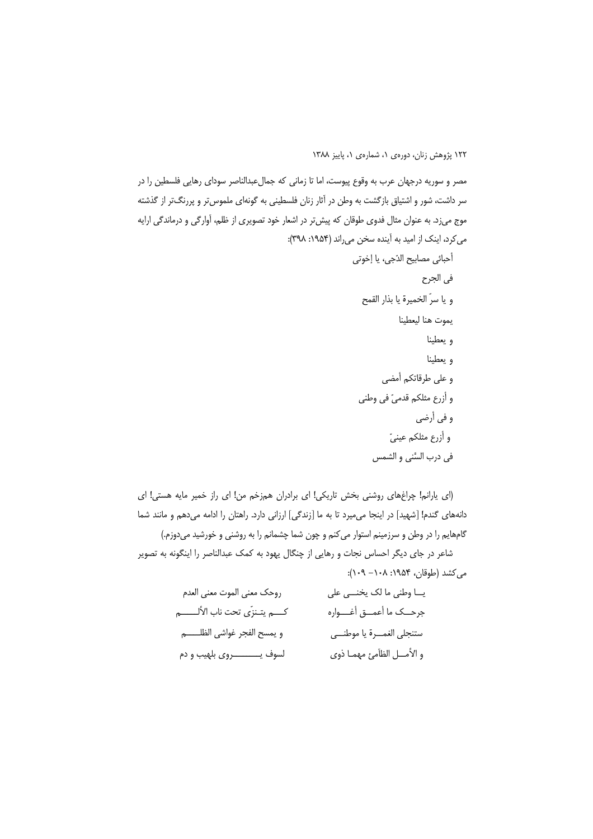مصر و سوریه درجهان عرب به وقوع پیوست، اما تا زمانی که جمالءبدالناصر سودای رهایی فلسطین را در سر داشت، شور و اشتیاق بازگشت به وطن در آثار زنان فلسطینی به گونهای ملموس تر و پررنگتر از گذشته موج میزد. به عنوان مثال فدوی طوقان که پیش تر در اشعار خود تصویری از ظلم، آوارگی و درماندگی ارایه می کرد، اینک از امید به آینده سخن می راند (۱۹۵۴: ۳۹۸):

(ای یارانم! چراغهای روشنی بخش تاریکی! ای برادران همزخم من! ای راز خمیر مایه هستی! ای دانههای گندم! [شهید] در اینجا می میرد تا به ما [زندگی] ارزانی دارد. راهتان را ادامه میدهم و مانند شما گامهایم را در وطن و سرزمینم استوار میکنم و چون شما چشمانم را به روشنی و خورشید میدوزم.) شاعر در جای دیگر احساس نجات و رهایی از چنگال یهود به کمک عبدالناصر را اینگونه به تصویر می کشد (طوقان، ۱۹۵۴: ۱۰۸– ۱۰۹):

| روحك معنى الموت معنى العدم            | يــا وطني ما لک يخنــي على  |
|---------------------------------------|-----------------------------|
| كــــم يتــنزّى تحت ناب الألــــــــم | جرحــك ما أعمــق أغـــواره  |
| و يمسح الفجر غواشي الظلـــــم         | ستنجلي الغمسرة يا موطنسي    |
| لسوف يـــــــــــــروي بلهيب و دم     | و الأمــل الظاَمئ مهمـا ذوي |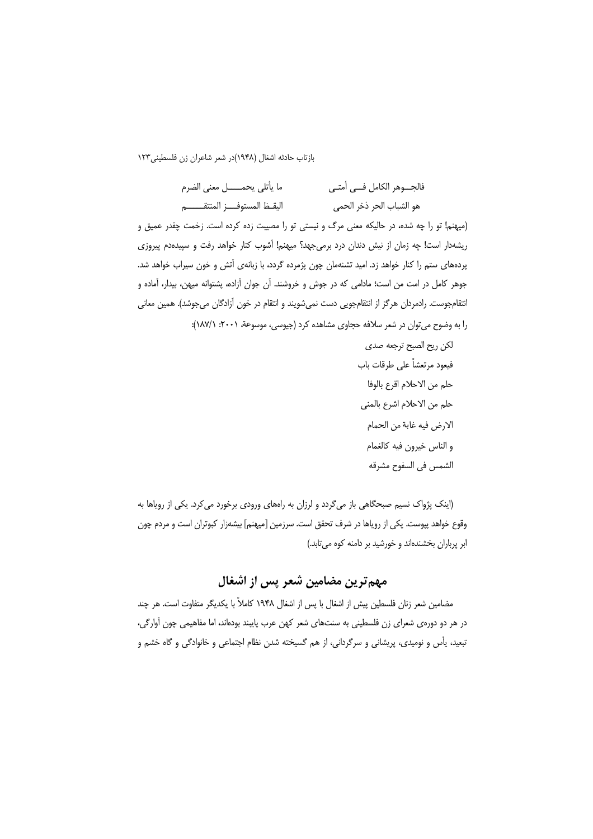| ما يأتلي يحمــــــل معنى الضرم | فالجـــوهر الكامل فـــى أمتــى |
|--------------------------------|--------------------------------|
| اليقظ المستوف ز المنتقب        | هو الشباب الحر ذخر الحمى       |

(میهنم! تو را چه شده، در حالیکه معنی مرگ و نیستی تو را مصیبت زده کرده است. زخمت چقدر عمیق و ریشهدار است! چه زمان از نیش دندان درد برمیجهد؟ میهنم! آشوب کنار خواهد رفت و سپیدهدم پیروزی پردههای ستم را کنار خواهد زد. امید تشنهمان چون پژمرده گردد، با زبانهی آتش و خون سیراب خواهد شد. جوهر كامل در امت من است؛ مادامى كه در جوش و خروشند. آن جوان آزاده، پشتوانه ميهن، بيدار، آماده و انتقامجوست. رادمردان هرگز از انتقامجویی دست نمیشویند و انتقام در خون آزادگان میجوشد). همین معانی را به وضوح می توان در شعر سلافه حجاوی مشاهده کرد (جیوسی، موسوعة، ۲۰۰۱: ۱۸۷/۱):

> لكن ريح الصبح ترجعه صدى فيعود مرتعشاً على طرقات باب حلم من الاحلام اقرع بالوفا حلم من الاحلام اشرع بالمنى الارض فيه غابة من الحمام و الناس خيرون فيه كالغمام الشمس في السفوح مشرقه

(اینک پژواک نسیم صبحگاهی باز میگردد و لرزان به راههای ورودی برخورد می کرد. یکی از رویاها به وقوع خواهد پپوست. یکی از رویاها در شرف تحقق است. سرزمین [میهنم] بیشهزار کبوتران است و مردم چون ابر پرباران بخشندهاند و خورشید بر دامنه کوه می تابد.)

مهم ترین مضامین شعر پس از اشغال

مضامین شعر زنان فلسطین پیش از اشغال با پس از اشغال ۱۹۴۸ کاملاً با یکدیگر متفاوت است. هر چند در هر دو دورهی شعرای زن فلسطینی به سنتهای شعر کهن عرب پایبند بودهاند، اما مفاهیمی چون آوارگی، تبعید، یأس و نومیدی، پریشانی و سرگردانی، از هم گسیخته شدن نظام اجتماعی و خانوادگی و گاه خشم و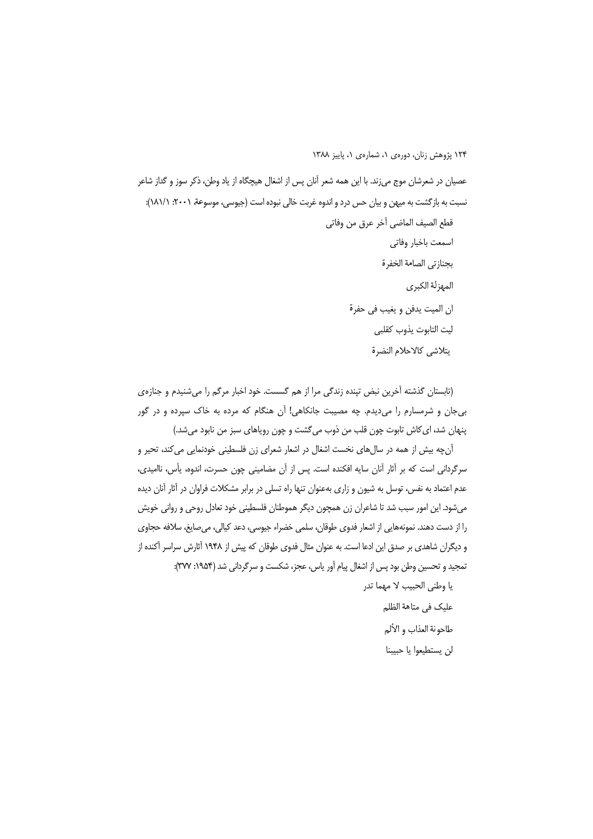عصیان در شعرشان موج می;ند. با این همه شعر آنان پس از اشغال هیچگاه از یاد وطن، ذکر سوز و گداز شاعر نسبت به بازگشت به میهن و بیان حس درد و اندوه غربت خالی نبوده است (جیوسی، موسوعة، ۲۰۰۱: ۱۸۱/۱): قطع الصيف الماضي آخر عرق من وفاتي اسمعت باخبار وفاتى بجنازتي الصامة الخفرة المهزلة الكبرى ان الميت يدفن و يغيب في حفرة ليت التابوت يذوب كقلبى يتلاشى كالاحلام النضرة

(تابستان گذشته آخرین نبض تینده زندگی مرا از هم گسست. خود اخبار مرگم را می شنیدم و جنازهی بی جان و شرمسارم را می دیدم. چه مصیبت جانکاهی! آن هنگام که مرده به خاک سپرده و در گور پنهان شد، ای کاش تابوت چون قلب من ذوب می گشت و چون رویاهای سبز من نابود میشد.)

آن چه بیش از همه در سال های نخست اشغال در اشعار شعرای زن فلسطینی خودنمایی می کند، تحیر و سرگردانی است که بر آثار آنان سایه افکنده است. پس از آن مضامینی چون حسرت، اندوه، پأس، ناامیدی، عدم اعتماد به نفس، توسل به شیون و زاری بهعنوان تنها راه تسلی در برابر مشکلات فراوان در آثار آنان دیده می شود. این امور سبب شد تا شاعران زن همچون دیگر هموطنان فلسطینی خود تعادل روحی و روانی خویش را از دست دهند. نمونههایی از اشعار فدوی طوقان، سلمی خضراء جیوسی، دعد کیالی، میصایغ، سلافه حجاوی و دیگران شاهدی بر صدق این ادعا است. به عنوان مثال فدوی طوقان که پیش از ۱۹۴۸ آثارش سراسر آکنده از تمجید و تحسین وطن بود پس از اشغال پیام آور پاس، عجز، شکست و سرگردانی شد (۱۹۵۴: ۳۷۷):

> يا وطني الحبيب لا مهما تدر عليك في متاهة الظلم طاحونة العذاب و الألم لن يستطيعوا يا حبيبنا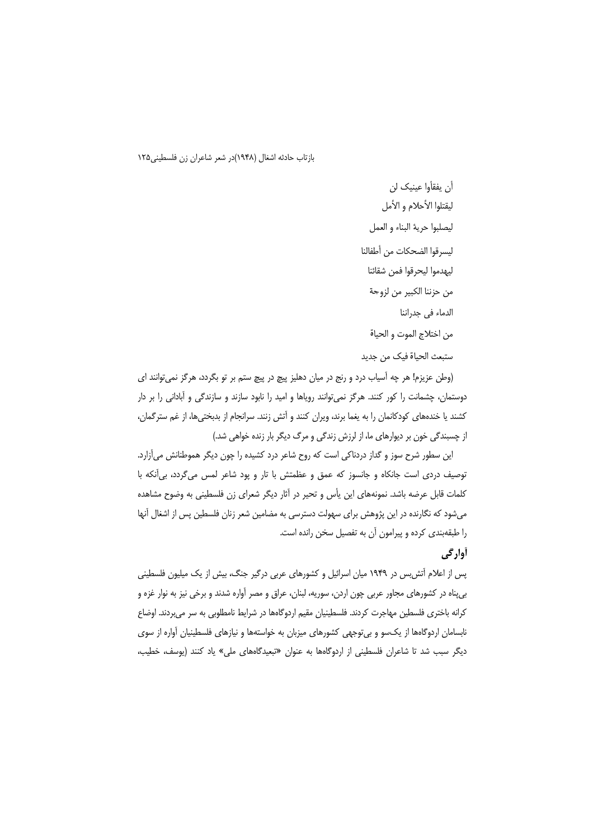أن يفقأوا عينيك لن ليقتلوا الأحلام و الأمل ليصلبوا حرية البناء و العمل ليسرقوا الضحكات من أطفالنا ليهدموا ليحرقوا فمن شقائنا من حزننا الكبير من لزوجة الدماء في جدراننا

من اختلاج الموت و الحياة

ستبعث الحياة فيك من جديد

(وطن عزیزم! هر چه آسیاب درد و رنج در میان دهلیز پیچ در پیچ ستم بر تو بگردد، هرگز نمی توانند ای دوستمان، چشمانت را کور کنند. هرگز نمیتوانند رویاها و امید را نابود سازند و سازندگی و آبادانی را بر دار کشند یا خندههای کودکانمان را به یغما برند، ویران کنند و آتش زنند. سرانجام از بدبختیها، از غم سترگمان، از چسبندگی خون بر دیوارهای ما، از لرزش زندگی و مرگ دیگر بار زنده خواهی شد.)

این سطور شرح سوز و گداز دردناکی است که روح شاعر درد کشیده را چون دیگر هموطنانش می آزارد. توصيف دردې است جانکاه و جانسوز که عمق و عظمتش با تار و يود شاعر لمس مي گردد، بي آنکه با کلمات قابل عرضه باشد. نمونههای این پأس و تحیر در آثار دیگر شعرای زن فلسطینی به وضوح مشاهده میشود که نگارنده در این پژوهش برای سهولت دسترسی به مضامین شعر زنان فلسطین پس از اشغال آنها را طبقهبندی کرده و پیرامون آن به تفصیل سخن رانده است.

## **آوارگی**

پس از اعلام آتش س در ۱۹۴۹ میان اسرائیل و کشورهای عربی درگیر جنگ، بیش از یک میلیون فلسطینی بیپناه در کشورهای مجاور عربی چون اردن، سوریه، لبنان، عراق و مصر آواره شدند و برخی نیز به نوار غزه و کرانه باختری فلسطین مهاجرت کردند. فلسطینیان مقیم اردوگاهها در شرایط نامطلوبی به سر میبردند. اوضاع نابسامان اردوگاهها از یکسو و بی توجهی کشورهای میزبان به خواستهها و نیازهای فلسطینیان آواره از سوی دیگر سبب شد تا شاعران فلسطینی از اردوگاهها به عنوان «تبعیدگاههای ملی» یاد کنند (یوسف، خطیب،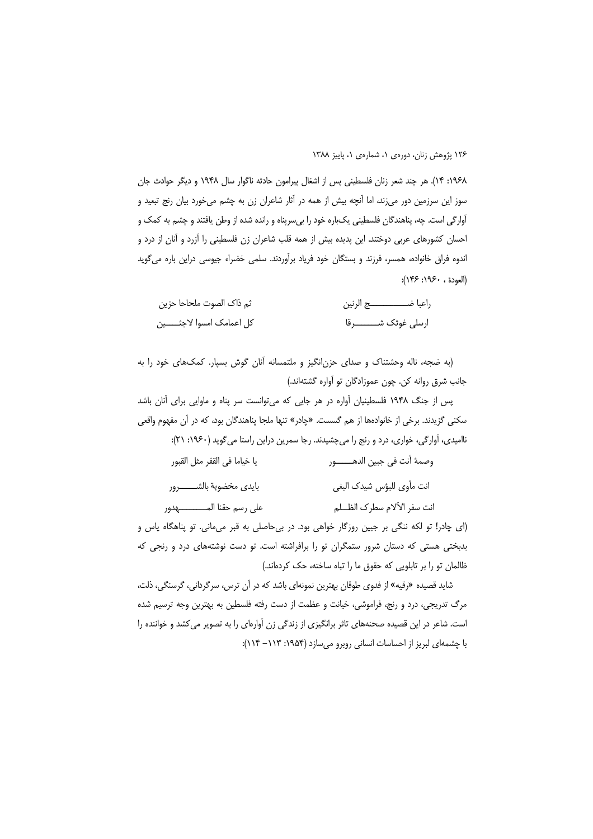١٩۶٨: ١۴). هر چند شعر زنان فلسطيني پس از اشغال پيرامون حادثه ناگوار سال ١٩۴٨ و ديگر حوادث جان سوز این سرزمین دور می;ند، اما آنچه بیش از همه در آثار شاعران زن به چشم میخورد بیان رنج تبعید و آوارگی است. چه، پناهندگان فلسطینی یکباره خود را بی سریناه و رانده شده از وطن یافتند و چشم به کمک و احسان کشورهای عربی دوختند. این پدیده بیش از همه قلب شاعران زن فلسطینی را آزرد و آنان از درد و اندوه فراق خانواده، همسر، فرزند و بستگان خود فریاد برآوردند. سلمی خضراء جیوسی دراین باره می گوید (العودة ، ١٩۶٠: ١۴۶):

| ثم ذاک الصوت ملحاحا حزين     | راعبا ضــــــــــــــــــج الرنين |
|------------------------------|-----------------------------------|
| كل اعمامك امسوا لاجئــــــين | ارسلی غوثک شــــــــــــرقا       |

(به ضجه، ناله وحشتناک و صدای حزن|نگیز و ملتمسانه آنان گوش بسپار. کمکهای خود را به جانب شرق روانه كن. چون عموزادگان تو آواره گشتهاند.)

پس از جنگ ۱۹۴۸ فلسطینیان آواره در هر جایی که می توانست سر پناه و ماوایی برای آنان باشد سکنی گزیدند. برخی از خانوادهها از هم گسست. «چادر» تنها ملجا پناهندگان بود، که در آن مفهوم واق*عی* ناامیدی، آوارگی، خواری، درد و رنج را می چشیدند. رجا سمرین دراین راستا می گوید (۱۹۶۰: ۲۱): وصمهٔ أنت في جبين الدهـــــــور يا خياما في القفر مثل القبور

بايدى مخضوبة بالشـــــــــرور انت مأوى للبؤس شيدك البغي انت سفر الألام سطرك الظـــلم على رسم حقنا المـــــــــــــهدور

(ای چادر! تو لکه ننگی بر جبین روزگار خواهی بود. در بی حاصلی به قبر می مانی. تو پناهگاه یاس و بدبختی هستی که دستان شرور ستمگران تو را برافراشته است. تو دست نوشتههای درد و رنجی که ظالمان تو را بر تابلویی که حقوق ما را تباه ساخته، حک کردهاند.)

شاید قصیده «رقیه» از فدوی طوقان بهترین نمونهای باشد که در آن ترس، سرگردانی، گرسنگی، ذلت، مرگ تدریجی، درد و رنج، فراموشی، خیانت و عظمت از دست رفته فلسطین به بهترین وجه ترسیم شده است. شاعر در این قصیده صحنههای تاثر برانگیزی از زندگی زن آوارهای را به تصویر میکشد و خواننده را با چشمهای لبریز از احساسات انسانی روبرو می سازد (۱۹۵۴: ۱۱۳– ۱۱۴):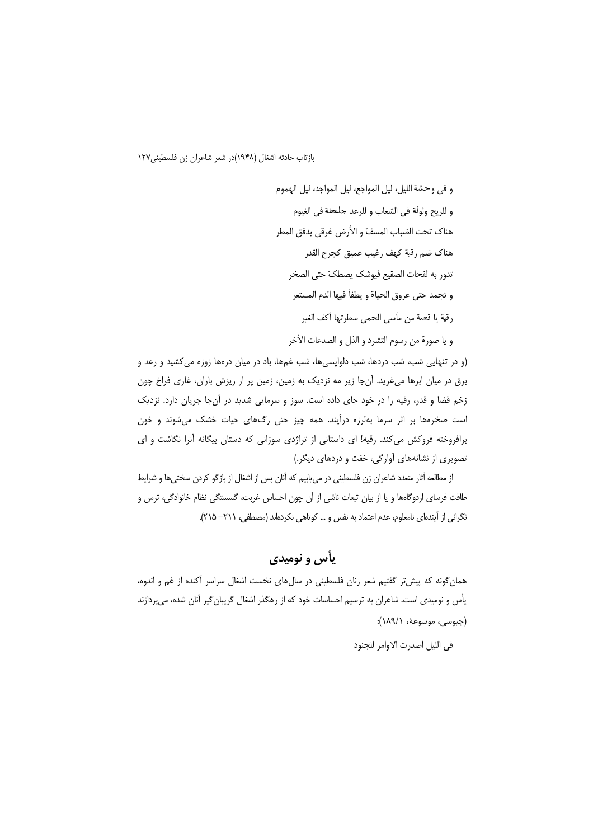و في وحشة الليل، ليل المواجع، ليل المواجد، ليل الهموم و للريح ولولة في الشعاب و للرعد حلحلة في الغيوم هناك تحت الضباب المسفّ و الأرض غرقي بدفق المطر هناك ضم رقية كهف رغيب عميق كجرح القدر تدور به لفحات الصقيع فيوشك يصطكّ حتى الصخر و تجمد حتى عروق الحياة و يطفأ فيها الدم المستعر رقية يا قصة من مأسى الحمى سطرتها أكف الغير

و يا صورة من رسوم التشرد و الذل و الصدعات الأخر

(و در تنهایی شب، شب دردها، شب دلواپسیها، شب غمها، باد در میان درهها زوزه می کشید و رعد و برق در میان ابرها می،غرید. آنجا زیر مه نزدیک به زمین، زمین پر از ریزش باران، غاری فراخ چون زخم قضا و قدر، رقیه را در خود جای داده است. سوز و سرمایی شدید در آنجا جریان دارد. نزدیک است صخرهها بر اثر سرما بهلرزه درآیند. همه چیز حتی رگهای حیات خشک می شوند و خون برافروخته فروکش میکند. رقیه! ای داستانی از تراژدی سوزانی که دستان بیگانه آنرا نگاشت و ای تصویری از نشانههای آوارگی، خفت و دردهای دیگر.)

از مطالعه آثار متعدد شاعران زن فلسطینی در می یابیم که آنان پس از اشغال از بازگو کردن سختیها و شرایط طاقت فرسای اردوگاهها و یا از بیان تبعات ناشی از آن چون احساس غربت، گسستگی نظام خانوادگی، ترس و نگرانی از آیندهای نامعلوم، عدم اعتماد به نفس و … کوتاهی نکردهاند (مصطفی، ۲۱۱– ۲۱۵).

# یأس و نومی*دی*

همان گونه که پیش تر گفتیم شعر زنان فلسطینی در سالهای نخست اشغال سراسر آکنده از غم و اندوه، یأس و نومیدی است. شاعران به ترسیم احساسات خود که از رهگذر اشغال گریبان گیر آنان شده، می پردازند (جيوسي، موسوعة، ١٨٩/١):

في الليل اصدرت الاوامر للجنود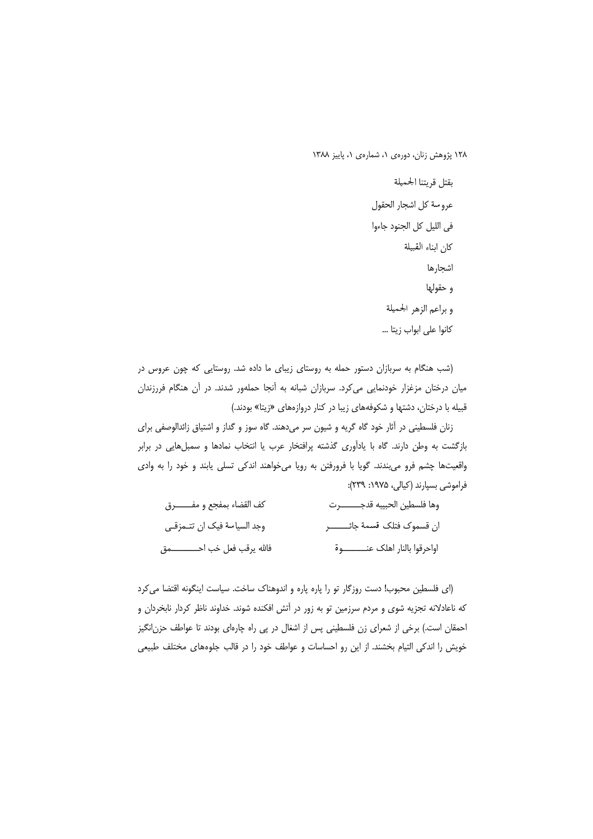بقتل قريتنا الحميلة عروسة كل اشجار الحقول في الليل كل الجنود جاءوا كان ابناء القبيلة اشجارها و حقولها وبراعم الزهر الجميلة كانوا على ابواب زيتا ...

(شب هنگام به سربازان دستور حمله به روستای زیبای ما داده شد. روستایی که چون عروس در میان درختان مزغزار خودنمایی می کرد. سربازان شبانه به آنجا حملهور شدند. در آن هنگام فررزندان قبیله با درختان، دشتها و شکوفههای زیبا در کنار دروازههای «زیتا» بودند.)

زنان فلسطینی در آثار خود گاه گریه و شیون سر میدهند. گاه سوز و گداز و اشتیاق زائدالوصفی برای بازگشت به وطن دارند. گاه با یادآوری گذشته پرافتخار عرب یا انتخاب نمادها و سمبلهایی در برابر واقعیتها چشم فرو میبندند. گویا با فرورفتن به رویا میخواهند اندکی تسلی یابند و خود را به وادی فراموشی بسیارند (کیالی، ۱۹۷۵: ۲۳۹):

| كف القضاء بمفجع و مفــــــــــرق  | وها فلسطين الحبيبه قدجــــــــــرت |
|-----------------------------------|------------------------------------|
| وجد السياسة فيك ان تتـمزقـي       | ان قسموك فتلك قسمة جائــــــــــر  |
| فالله يرقب فعل خب احـــــــــــمق | اواحرقوا بالنار اهلك عنـــــــــوة |

(ای فلسطین محبوب! دست روزگار تو را پاره پاره و اندوهناک ساخت. سیاست اینگونه اقتضا می کرد که ناعادلانه تجزیه شوی و مردم سرزمین تو به زور در آتش افکنده شوند. خداوند ناظر کردار نابخردان و احمقان است.) برخی از شعرای زن فلسطینی پس از اشغال در پی راه چارهای بودند تا عواطف حزن|نگیز خویش را اندکی التیام بخشند. از این رو احساسات و عواطف خود را در قالب جلوههای مختلف طبیعی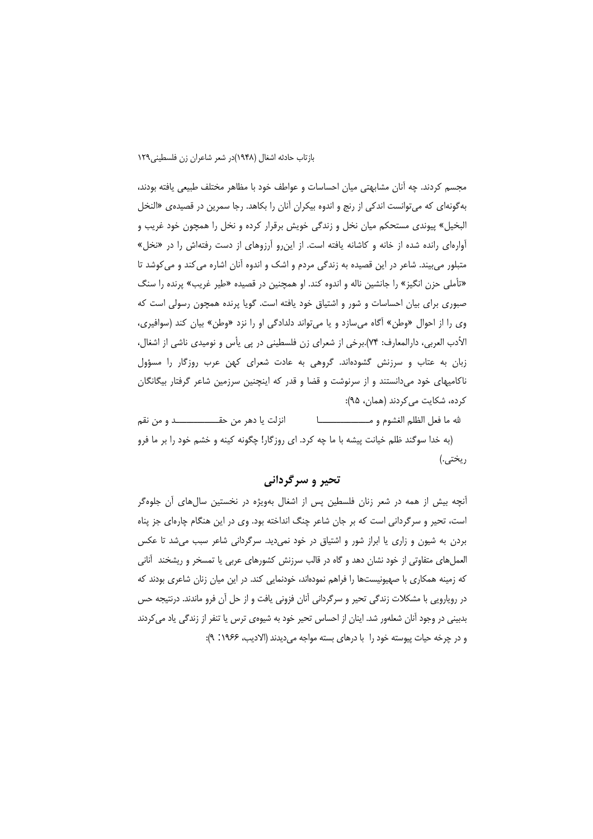مجسم کردند. چه آنان مشابهتی میان احساسات و عواطف خود با مظاهر مختلف طبیعی یافته بودند، به گونهای که میتوانست اندکی از رنج و اندوه بیکران آنان را بکاهد. رجا سمرین در قصیدهی «النخل البخیل» پیوندی مستحکم میان نخل و زندگی خویش برقرار کرده و نخل را همچون خود غریب و آوارهای رانده شده از خانه و کاشانه یافته است. از این رو آرزوهای از دست رفتهاش را در «نخل» متبلور میبیند. شاعر در این قصیده به زندگی مردم و اشک و اندوه آنان اشاره می کند و می کوشد تا «تأملی حزن انگیز» را جانشین ناله و اندوه کند. او همچنین در قصیده «طیر غریب» پرنده را سنگ صبوری برای بیان احساسات و شور و اشتیاق خود یافته است. گویا پرنده همچون رسولی است که وي را از احوال «وطن» آگاه مي سازد و يا مي تواند دلدادگي او را نزد «وطن» بيان كند (سوافيري، الأدب العربي، دارالمعارف: ٧۴).برخي از شعراي زن فلسطيني در پي يأس و نوميدي ناشي از اشغال، زبان به عتاب و سرزنش گشودهاند. گروهی به عادت شعرای کهن عرب روزگار را مسؤول ناکامیهای خود میدانستند و از سرنوشت و قضا و قدر که اینچنین سرزمین شاعر گرفتار بیگانگان کرده، شکایت می کردند (همان، ۹۵):

انزلت يا دهر من حقــــــــــــــــــــد و من نقم (به خدا سوگند ظلم خیانت پیشه با ما چه کرد. ای روزگار! چگونه کینه و خشم خود را بر ما فرو ريختي.)

## تحير و سرگرداني

آنچه بیش از همه در شعر زنان فلسطین پس از اشغال بهویژه در نخستین سالهای آن جلوهگر است، تحیر و سرگردانی است که بر جان شاعر چنگ انداخته بود. وی در این هنگام چارهای جز پناه بردن به شیون و زاری یا ابراز شور و اشتیاق در خود نمی دید. سرگردانی شاعر سبب می شد تا عکس العملهای متفاوتی از خود نشان دهد و گاه در قالب سرزنش کشورهای عربی یا تمسخر و ریشخند آنانی که زمینه همکاری با صهیونیستها را فراهم نمودهاند، خودنمایی کند. در این میان زنان شاعری بودند که در رویارویی با مشکلات زندگی تحیر و سرگردانی آنان فزونی یافت و از حل آن فرو ماندند. درنتیجه حس بدبینی در وجود آنان شعلهور شد. اینان از احساس تحیر خود به شیوهی ترس یا تنفر از زندگی یاد می کردند و در چرخه حیات پیوسته خود را با درهای بسته مواجه میدیدند (الادیب، ۱۹۶۶: ۹):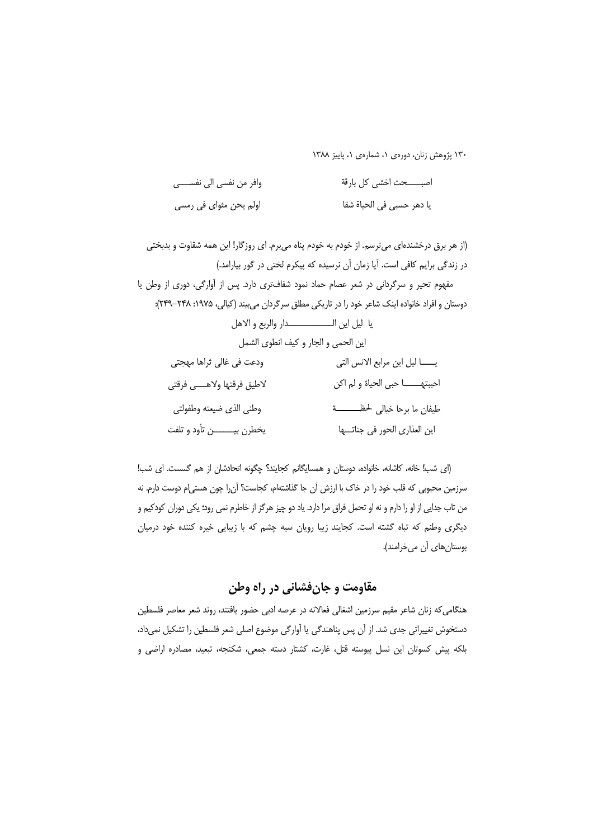| وافر من نفسي الي نفســــي | اصبـــــحت اخشى كل بارقة  |
|---------------------------|---------------------------|
| اولم يحن مثواي في رمسي    | يا دهر حسبي في الحياة شقا |

(از هر برق درخشندهای می ترسم. از خودم به خودم پناه می برم. ای روزگار! این همه شقاوت و بدبختی در زندگی برایم کافی است. آیا زمان آن نرسیده که پیکرم لختی در گور بیارامد.) مفهوم تحیر و سرگردانی در شعر عصام حماد نمود شفافتری دارد. پس از آوارگی، دوری از وطن یا دوستان و افراد خانواده اینک شاعر خود را در تاریکی مطلق سرگردان می بیند (کیالی، ۱۹۷۵: ۲۴۸–۲۴۹): يا ليل اين الــــــــــــــــدار والربع والاهل اين الحمى والجار وكيف انطوى الشمل ودعت في غالي ثراها مهجتي لاطيق فرقتها ولاهسي فرقتي وطني الذي ضيعته وطفولتي طيفان ما برحا خيالي لحظـــــــــة يخطرن بيـــــــــن تأود و تلفت اين العذاري الحور في جناتــــها

(ای شب! خانه، کاشانه، خانواده، دوستان و همسایگانم کجایند؟ چگونه اتحادشان از هم گسست. ای شب! سرزمین محبوبی که قلب خود را در خاک با ارزش آن جا گذاشتهام، کجاست؟ آن٫را چون هستی|م دوست دارم. نه من تاب جدایی از او را دارم و نه او تحمل فراق مرا دارد. یاد دو چیز هرگز از خاطرم نمی رود؛ یکی دوران کودکیم و دیگری وطنم که تباه گشته است. کجایند زیبا رویان سیه چشم که با زیبایی خیره کننده خود درمیان بوستانهای آن میخرامند).

## مقاومت و جانفشانی در راه وطن

هنگامی که زنان شاعر مقیم سرزمین اشغالی فعالانه در عرصه ادبی حضور یافتند، روند شعر معاصر فلسطین دستخوش تغییراتی جدی شد. از آن پس پناهندگی یا آوارگی موضوع اصلی شعر فلسطین را تشکیل نمیداد، بلكه پيش كسوتان اين نسل پيوسته قتل، غارت، كشتار دسته جمعى، شكنجه، تبعيد، مصادره اراضى و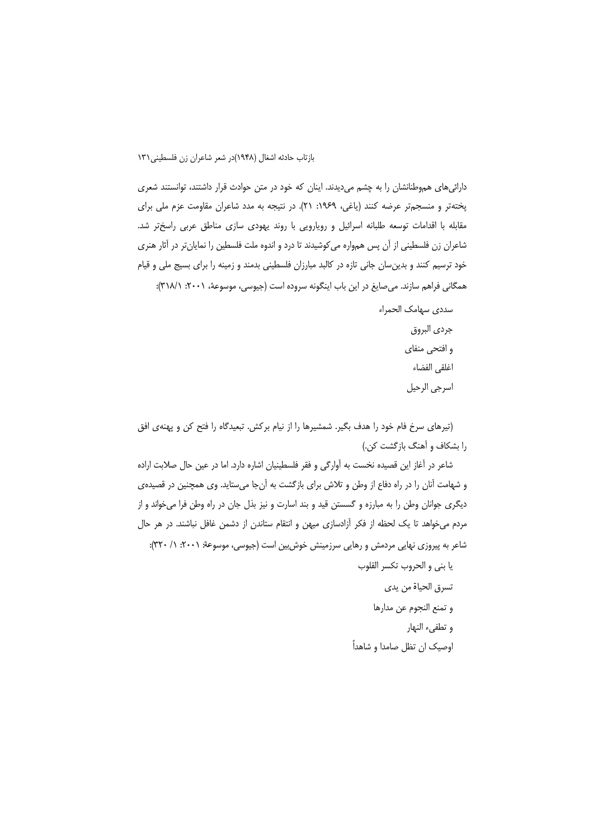دارائی های هموطنانشان را به چشم می دیدند. اینان که خود در متن حوادث قرار داشتند، توانستند شعری پختهتر و منسجمتر عرضه كنند (ياغى، ١٩۶٩: ٢١). در نتيجه به مدد شاعران مقاومت عزم ملي براي مقابله با اقدامات توسعه طلبانه اسرائيل و رويارويي با روند يهودي سازي مناطق عربي راسختر شد. شاعران زن فلسطینی از آن پس همواره میکوشیدند تا درد و اندوه ملت فلسطین را نمایانتر در آثار هنری خود ترسیم کنند و بدینِسان جانی تازه در کالبد مبارزان فلسطینی بدمند و زمینه را برای بسیج ملی و قیام همگانی فراهم سازند. میصایغ در این باب اینگونه سروده است (جیوسی، موسوعهٔ، ۲۰۰۱: ۳۱۸/۱):

> سددى سهامک الحمراء جردى البروق و افتحی منفای اغلقى الفضاء اسرجي الرحيل

(تیرهای سرخ فام خود را هدف بگیر. شمشیرها را از نیام برکش. تبعیدگاه را فتح کن و پهنهی افق را بشکاف و آهنگ بازگشت کن.)

شاعر در آغاز این قصیده نخست به آوارگی و فقر فلسطینیان اشاره دارد. اما در عین حال صلابت اراده و شهامت آنان را در راه دفاع از وطن و تلاش برای بازگشت به آنجا میستاید. وی همچنین در قصیدهی دیگری جوانان وطن را به مبارزه و گسستن قید و بند اسارت و نیز بذل جان در راه وطن فرا میخواند و از مردم می خواهد تا یک لحظه از فکر آزادسازی میهن و انتقام ستاندن از دشمن غافل نباشند. در هر حال شاعر به پیروزی نهایی مردمش و رهایی سرزمینش خوش بین است (جیوسی، موسوعة: ۲۰۰۱: ۱/ ۳۲۰):

يا بنى و الحروب تكسر القلوب

تسرق الحياة من يدى و تمنع النجوم عن مدارها و تطفىء النهار اوصیک ان تظل صامدا و شاهداً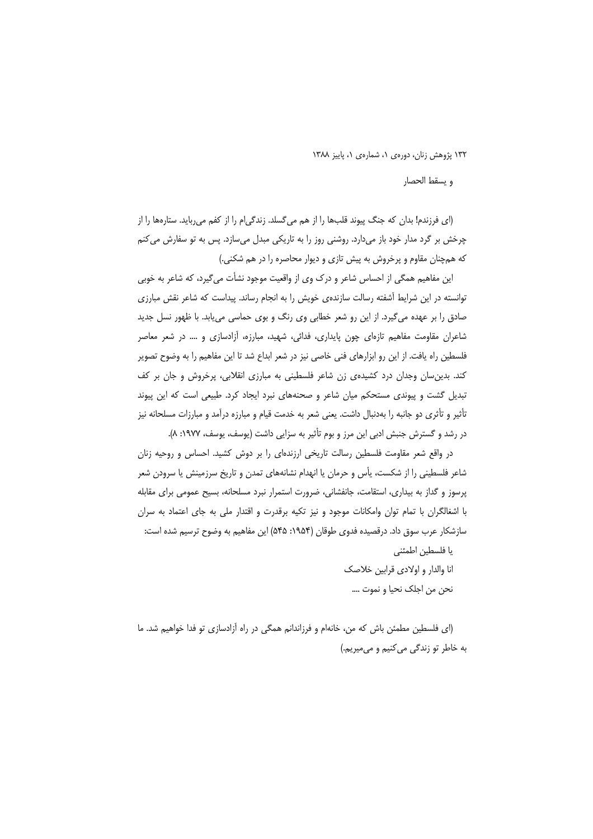و يسقط الحصار

(ای فرزندم! بدان که جنگ پیوند قلبها را از هم می گسلد. زندگی|م را از کفم می رباید. ستارهها را از چرخش بر گرد مدار خود باز میدارد. روشنی روز را به تاریکی مبدل میسازد. پس به تو سفارش میکنم که همچنان مقاوم و پرخروش به پیش تازی و دیوار محاصره را در هم شکنی.)

این مفاهیم همگی از احساس شاعر و درک وی از واقعیت موجود نشأت می گیرد، که شاعر به خوبی توانسته در این شرایط آشفته رسالت سازندهی خویش را به انجام رساند. پیداست که شاعر نقش مبارزی صادق را بر عهده میگیرد. از این رو شعر خطابی وی رنگ و بوی حماسی می یابد. با ظهور نسل جدید شاعران مقاومت مفاهیم تازهای چون پایداری، فدائی، شهید، مبارزه، آزادسازی و …. در شعر معاصر فلسطین راه یافت. از این رو ابزارهای فنی خاصی نیز در شعر ابداع شد تا این مفاهیم را به وضوح تصویر کند. بدین سان وجدان درد کشیدهی زن شاعر فلسطینی به مبارزی انقلابی، پرخروش و جان بر کف تبدیل گشت و پیوندی مستحکم میان شاعر و صحنههای نبرد ایجاد کرد. طبیعی است که این پیوند تأثیر و تأثری دو جانبه را بهدنبال داشت. یعنی شعر به خدمت قیام و مبارزه درآمد و مبارزات مسلحانه نیز در رشد و گسترش جنبش ادبی این مرز و بوم تأثیر به سزایی داشت (یوسف، یوسف، ۱۹۷۷: ۸).

در واقع شعر مقاومت فلسطین رسالت تاریخی ارزندهای را بر دوش کشید. احساس و روحیه زنان شاعر فلسطینی را از شکست، پأس و حرمان یا انهدام نشانههای تمدن و تاریخ سرزمینش یا سرودن شعر پرسوز و گداز به بیداری، استقامت، جانفشانی، ضرورت استمرار نبرد مسلحانه، بسیح عمومی برای مقابله با اشغالگران با تمام توان وامکانات موجود و نیز تکیه برقدرت و اقتدار ملی به جای اعتماد به سران سازشکار عرب سوق داد. درقصیده فدوی طوقان (۱۹۵۴: ۵۴۵) این مفاهیم به وضوح ترسیم شده است:

> یا فلسطین اطمئنی انا والدار و اولادي قرابين خلاصک نحن من اجلک نحیا و نموت ….

(ای فلسطین مطمئن باش که من، خانهام و فرزاندانم همگی در راه آزادسازی تو فدا خواهیم شد. ما به خاطر تو زندگی می کنیم و می میریم.)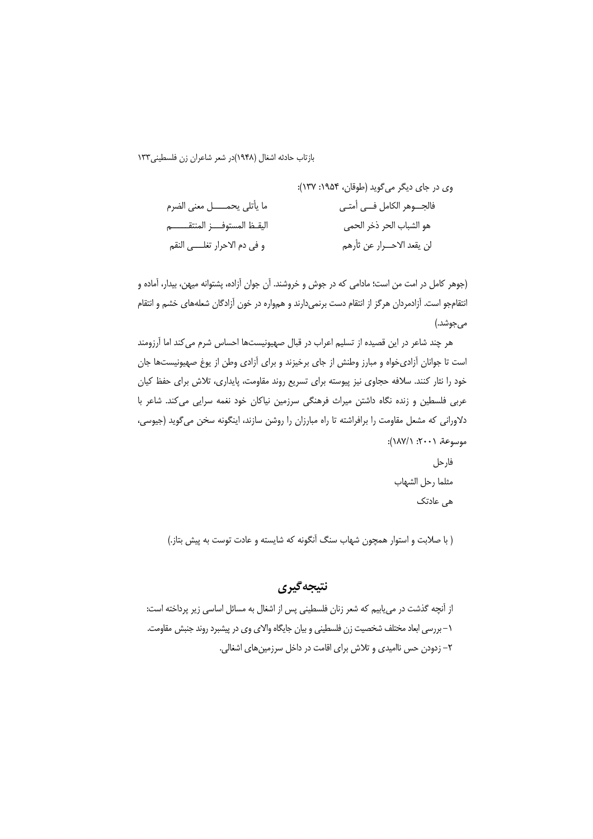(جوهر كامل در امت من است؛ مادامی كه در جوش و خروشند. آن جوان آزاده، پشتوانه میهن، بیدار، آماده و انتقامجو است. آزادمردان هرگز از انتقام دست برنمیدارند و همواره در خون آزادگان شعلههای خشم و انتقام مي جوشد.)

هر چند شاعر در این قصیده از تسلیم اعراب در قبال صهیونیستها احساس شرم می کند اما آرزومند است تا جوانان آزادی خواه و مبارز وطنش از جای برخیزند و برای آزادی وطن از یوغ صهیونیستها جان خود را نثار کنند. سلافه حجاوی نیز پیوسته برای تسریع روند مقاومت، پایداری، تلاش برای حفظ کیان عربی فلسطین و زنده نگاه داشتن میراث فرهنگی سرزمین نیاکان خود نغمه سرایی میکند. شاعر با دلاورانی که مشعل مقاومت را برافراشته تا راه مبارزان را روشن سازند، اینگونه سخن می گوید (جیوسی، موسوعة، ٢٠٠١: ١٨٧/١):

(با صلابت و استوار همچون شهاب سنگ آنگونه که شایسته و عادت توست به پیش بتاز.)

## نتيجه گيري

از آنچه گذشت در می،یابیم که شعر زنان فلسطینی پس از اشغال به مسائل اساسی زیر پرداخته است<del>.</del> ١– بررسی ابعاد مختلف شخصیت زن فلسطینی و بیان جایگاه والای وی در پیشبرد روند جنبش مقاومت. ٢– زدودن حس نااميدي و تلاش براي اقامت در داخل سرزمينهاي اشغالي.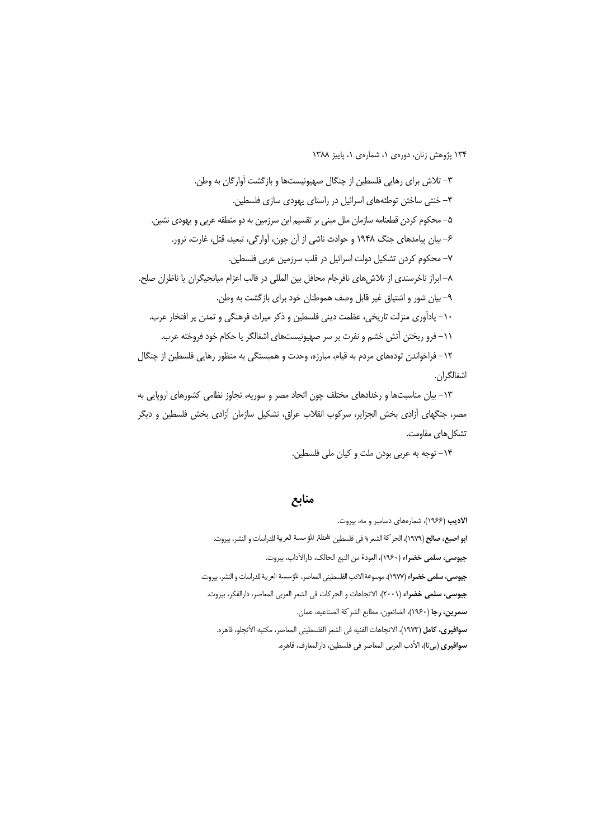٣- تلاش براي رهايي فلسطين از چنگال صهيونيستها و بازگشت آوارگان به وطن. ۴– خنثی ساختن توطئههای اسرائیل در راستای یهودی سازی فلسطین. ۵– محکوم کردن قطعنامه سازمان ملل مبنی بر تقسیم این سرزمین به دو منطقه عربی و یهودی نشین. ۶– بیان پیامدهای جنگ ۱۹۴۸ و حوادث ناشی از آن چون، آوارگی، تبعید، قتل، غارت، ترور. ٧– محکوم کردن تشکیل دولت اسرائیل در قلب سرزمین عربی فلسطین. ٨– ابراز ناخرسندي از تلاش هاي نافرجام محافل بين المللي در قالب اعزام ميانجيگران يا ناظران صلح. ۹– بیان شور و اشتیاق غیر قابل وصف هموطنان خود برای بازگشت به وطن. ١٠- يادآوري منزلت تاريخي، عظمت ديني فلسطين و ذكر ميراث فرهنگي و تمدن پر افتخار عرب. ١١- فرو ريختن اّتش خشم و نفرت بر سر صهيونيستهاى اشغالگر يا حكام خود فروخته عرب. ١٢– فراخواندن تودههای مردم به قیام، مبارزه، وحدت و همبستگی به منظور رهایی فلسطین از چنگال

## اشغالگران.

١٣– بيان مناسبتها و رخدادهاي مختلف چون اتحاد مصر و سوريه، تجاوز نظامي كشورهاي اروپايي به مصر، جنگهای آزادی بخش الجزایر، سرکوب انقلاب عراق، تشکیل سازمان آزادی بخش فلسطین و دیگر تشكل های مقاومت.

### منابع

الادیب (۱۹۶۶)، شمارههای دسامبر و مه، بیروت. **ابو اصبع، صالح** (١٩٧٩)، الحر كة الشعرية في فلسطين المحتلة، المؤسسة العربية للدراسات و النشر، بيروت. جيوسي، سلمي خضراء (١٩۶٠)، العودة من النبع الحالك، دارالأداب، بيروت. ج**يوسى، سلمى خضرا**ء (١٩٧٧)، موسوعة الادب الفلسطيني المعاصر، المؤسسة العريبة للدراسات و النشر، بيروت. .<br>جيوسي، سلمي خضراء (٢٠٠١)، الاتجاهات و الحركات في الشعر العربي المعاصر، دارالفكر، بيروت. **سمرين، رجا** (١٩۶٠)، الضائعون، مطابع الشركة الصناعيه، عمان. **سوافيري، كامل (١٩٧٣)،** الاتجاهات الفنيه في الشعر الفلسطيني المعاصر، مكتبه الأنجلو، قاهره. **سوافيري** (بي¤ا)، الأدب العربي المعاصر في فلسطين، دارالمعارف، قاهره.